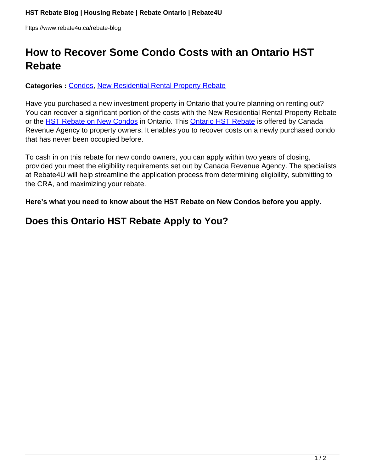# **How to Recover Some Condo Costs with an Ontario HST Rebate**

#### **Categories :** [Condos,](https://www.rebate4u.ca/rebate-blog/category/condos/) [New Residential Rental Property Rebate](https://www.rebate4u.ca/rebate-blog/category/new-residential-rental-property-rebate/)

Have you purchased a new investment property in Ontario that you're planning on renting out? You can recover a significant portion of the costs with the New Residential Rental Property Rebate or the [HST Rebate on New Condos](https://www.rebate4u.ca/service-hst-rebate) in Ontario. This [Ontario HST Rebate](http://rebate4u.ca) is offered by Canada Revenue Agency to property owners. It enables you to recover costs on a newly purchased condo that has never been occupied before.

To cash in on this rebate for new condo owners, you can apply within two years of closing, provided you meet the eligibility requirements set out by Canada Revenue Agency. The specialists at Rebate4U will help streamline the application process from determining eligibility, submitting to the CRA, and maximizing your rebate.

**Here's what you need to know about the HST Rebate on New Condos before you apply.** 

### **Does this Ontario HST Rebate Apply to You?**